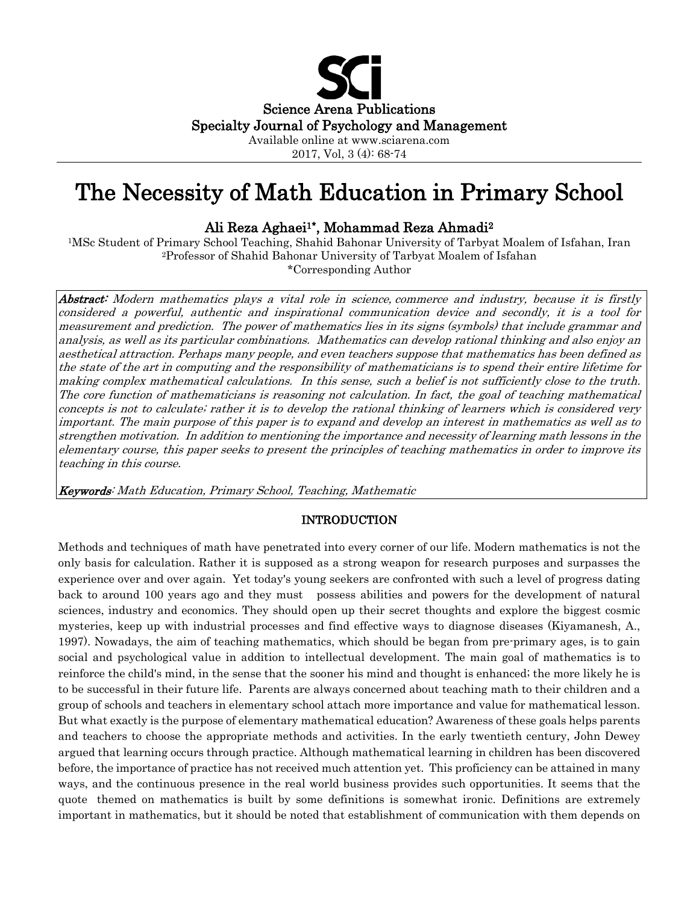

Available online at www.sciarena.com 2017, Vol, 3 (4): 68-74

# The Necessity of Math Education in Primary School

Ali Reza Aghaei1\*, Mohammad Reza Ahmadi2

1MSc Student of Primary School Teaching, Shahid Bahonar University of Tarbyat Moalem of Isfahan, Iran 2Professor of Shahid Bahonar University of Tarbyat Moalem of Isfahan \*Corresponding Author

Abstract: Modern mathematics plays a vital role in science, commerce and industry, because it is firstly considered a powerful, authentic and inspirational communication device and secondly, it is a tool for measurement and prediction. The power of mathematics lies in its signs (symbols) that include grammar and analysis, as well as its particular combinations. Mathematics can develop rational thinking and also enjoy an aesthetical attraction. Perhaps many people, and even teachers suppose that mathematics has been defined as the state of the art in computing and the responsibility of mathematicians is to spend their entire lifetime for making complex mathematical calculations. In this sense, such a belief is not sufficiently close to the truth. The core function of mathematicians is reasoning not calculation. In fact, the goal of teaching mathematical concepts is not to calculate; rather it is to develop the rational thinking of learners which is considered very important. The main purpose of this paper is to expand and develop an interest in mathematics as well as to strengthen motivation. In addition to mentioning the importance and necessity of learning math lessons in the elementary course, this paper seeks to present the principles of teaching mathematics in order to improve its teaching in this course.

Keywords: Math Education, Primary School, Teaching, Mathematic

# INTRODUCTION

Methods and techniques of math have penetrated into every corner of our life. Modern mathematics is not the only basis for calculation. Rather it is supposed as a strong weapon for research purposes and surpasses the experience over and over again. Yet today's young seekers are confronted with such a level of progress dating back to around 100 years ago and they must possess abilities and powers for the development of natural sciences, industry and economics. They should open up their secret thoughts and explore the biggest cosmic mysteries, keep up with industrial processes and find effective ways to diagnose diseases (Kiyamanesh, A., 1997). Nowadays, the aim of teaching mathematics, which should be began from pre-primary ages, is to gain social and psychological value in addition to intellectual development. The main goal of mathematics is to reinforce the child's mind, in the sense that the sooner his mind and thought is enhanced; the more likely he is to be successful in their future life. Parents are always concerned about teaching math to their children and a group of schools and teachers in elementary school attach more importance and value for mathematical lesson. But what exactly is the purpose of elementary mathematical education? Awareness of these goals helps parents and teachers to choose the appropriate methods and activities. In the early twentieth century, John Dewey argued that learning occurs through practice. Although mathematical learning in children has been discovered before, the importance of practice has not received much attention yet. This proficiency can be attained in many ways, and the continuous presence in the real world business provides such opportunities. It seems that the quote themed on mathematics is built by some definitions is somewhat ironic. Definitions are extremely important in mathematics, but it should be noted that establishment of communication with them depends on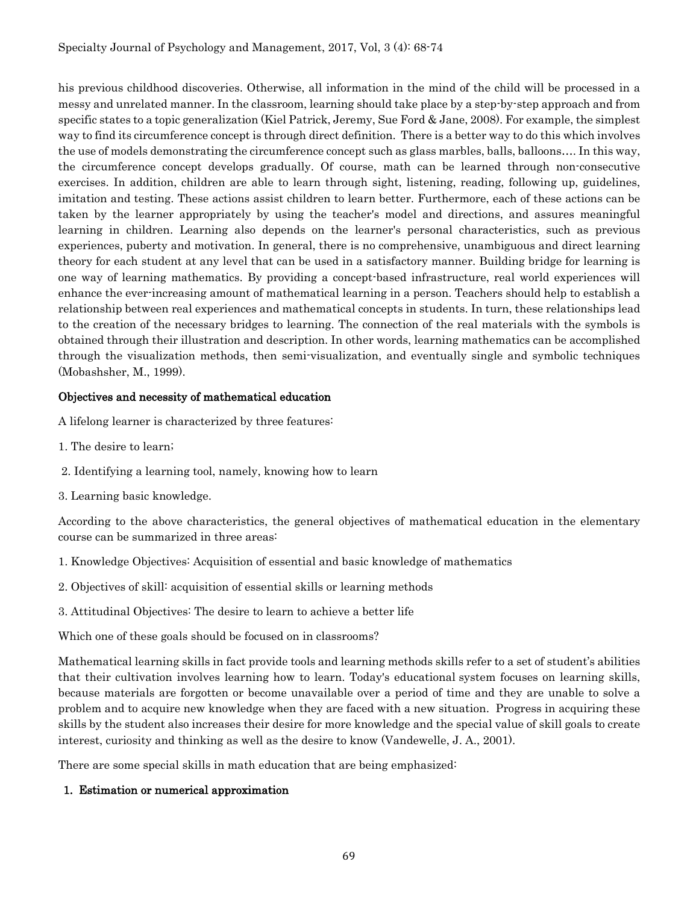his previous childhood discoveries. Otherwise, all information in the mind of the child will be processed in a messy and unrelated manner. In the classroom, learning should take place by a step-by-step approach and from specific states to a topic generalization (Kiel Patrick, Jeremy, Sue Ford & Jane, 2008). For example, the simplest way to find its circumference concept is through direct definition. There is a better way to do this which involves the use of models demonstrating the circumference concept such as glass marbles, balls, balloons…. In this way, the circumference concept develops gradually. Of course, math can be learned through non-consecutive exercises. In addition, children are able to learn through sight, listening, reading, following up, guidelines, imitation and testing. These actions assist children to learn better. Furthermore, each of these actions can be taken by the learner appropriately by using the teacher's model and directions, and assures meaningful learning in children. Learning also depends on the learner's personal characteristics, such as previous experiences, puberty and motivation. In general, there is no comprehensive, unambiguous and direct learning theory for each student at any level that can be used in a satisfactory manner. Building bridge for learning is one way of learning mathematics. By providing a concept-based infrastructure, real world experiences will enhance the ever-increasing amount of mathematical learning in a person. Teachers should help to establish a relationship between real experiences and mathematical concepts in students. In turn, these relationships lead to the creation of the necessary bridges to learning. The connection of the real materials with the symbols is obtained through their illustration and description. In other words, learning mathematics can be accomplished through the visualization methods, then semi-visualization, and eventually single and symbolic techniques (Mobashsher, M., 1999).

# Objectives and necessity of mathematical education

A lifelong learner is characterized by three features:

- 1. The desire to learn;
- 2. Identifying a learning tool, namely, knowing how to learn
- 3. Learning basic knowledge.

According to the above characteristics, the general objectives of mathematical education in the elementary course can be summarized in three areas:

- 1. Knowledge Objectives: Acquisition of essential and basic knowledge of mathematics
- 2. Objectives of skill: acquisition of essential skills or learning methods
- 3. Attitudinal Objectives: The desire to learn to achieve a better life

Which one of these goals should be focused on in classrooms?

Mathematical learning skills in fact provide tools and learning methods skills refer to a set of student's abilities that their cultivation involves learning how to learn. Today's educational system focuses on learning skills, because materials are forgotten or become unavailable over a period of time and they are unable to solve a problem and to acquire new knowledge when they are faced with a new situation. Progress in acquiring these skills by the student also increases their desire for more knowledge and the special value of skill goals to create interest, curiosity and thinking as well as the desire to know (Vandewelle, J. A., 2001).

There are some special skills in math education that are being emphasized:

# 1. Estimation or numerical approximation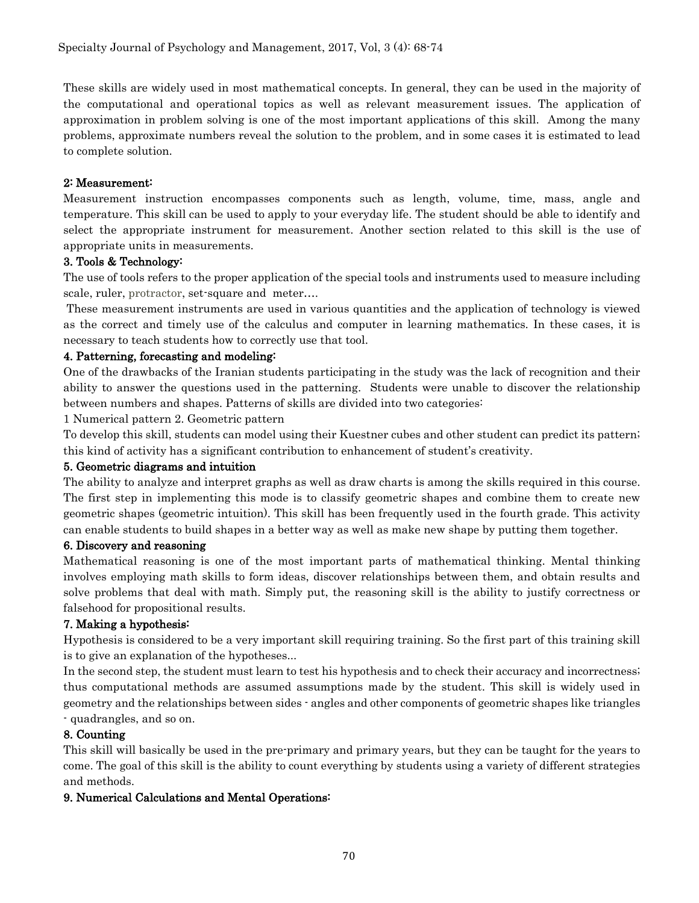These skills are widely used in most mathematical concepts. In general, they can be used in the majority of the computational and operational topics as well as relevant measurement issues. The application of approximation in problem solving is one of the most important applications of this skill. Among the many problems, approximate numbers reveal the solution to the problem, and in some cases it is estimated to lead to complete solution.

### 2: Measurement:

Measurement instruction encompasses components such as length, volume, time, mass, angle and temperature. This skill can be used to apply to your everyday life. The student should be able to identify and select the appropriate instrument for measurement. Another section related to this skill is the use of appropriate units in measurements.

## 3. Tools & Technology:

The use of tools refers to the proper application of the special tools and instruments used to measure including scale, ruler, protractor, set-square and meter….

These measurement instruments are used in various quantities and the application of technology is viewed as the correct and timely use of the calculus and computer in learning mathematics. In these cases, it is necessary to teach students how to correctly use that tool.

#### 4. Patterning, forecasting and modeling:

One of the drawbacks of the Iranian students participating in the study was the lack of recognition and their ability to answer the questions used in the patterning. Students were unable to discover the relationship between numbers and shapes. Patterns of skills are divided into two categories:

1 Numerical pattern 2. Geometric pattern

To develop this skill, students can model using their Kuestner cubes and other student can predict its pattern; this kind of activity has a significant contribution to enhancement of student's creativity.

#### 5. Geometric diagrams and intuition

The ability to analyze and interpret graphs as well as draw charts is among the skills required in this course. The first step in implementing this mode is to classify geometric shapes and combine them to create new geometric shapes (geometric intuition). This skill has been frequently used in the fourth grade. This activity can enable students to build shapes in a better way as well as make new shape by putting them together.

#### 6. Discovery and reasoning

Mathematical reasoning is one of the most important parts of mathematical thinking. Mental thinking involves employing math skills to form ideas, discover relationships between them, and obtain results and solve problems that deal with math. Simply put, the reasoning skill is the ability to justify correctness or falsehood for propositional results.

# 7. Making a hypothesis:

Hypothesis is considered to be a very important skill requiring training. So the first part of this training skill is to give an explanation of the hypotheses...

In the second step, the student must learn to test his hypothesis and to check their accuracy and incorrectness; thus computational methods are assumed assumptions made by the student. This skill is widely used in geometry and the relationships between sides - angles and other components of geometric shapes like triangles - quadrangles, and so on.

#### 8. Counting

This skill will basically be used in the pre-primary and primary years, but they can be taught for the years to come. The goal of this skill is the ability to count everything by students using a variety of different strategies and methods.

# 9. Numerical Calculations and Mental Operations: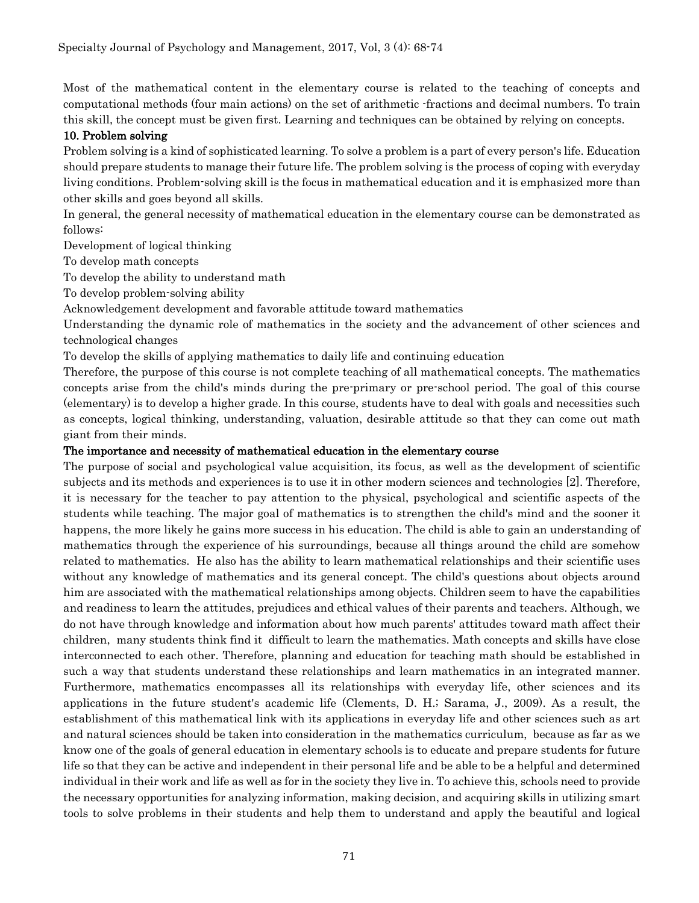Most of the mathematical content in the elementary course is related to the teaching of concepts and computational methods (four main actions) on the set of arithmetic -fractions and decimal numbers. To train this skill, the concept must be given first. Learning and techniques can be obtained by relying on concepts.

#### 10. Problem solving

Problem solving is a kind of sophisticated learning. To solve a problem is a part of every person's life. Education should prepare students to manage their future life. The problem solving is the process of coping with everyday living conditions. Problem-solving skill is the focus in mathematical education and it is emphasized more than other skills and goes beyond all skills.

In general, the general necessity of mathematical education in the elementary course can be demonstrated as follows:

Development of logical thinking

To develop math concepts

To develop the ability to understand math

To develop problem-solving ability

Acknowledgement development and favorable attitude toward mathematics

Understanding the dynamic role of mathematics in the society and the advancement of other sciences and technological changes

To develop the skills of applying mathematics to daily life and continuing education

Therefore, the purpose of this course is not complete teaching of all mathematical concepts. The mathematics concepts arise from the child's minds during the pre-primary or pre-school period. The goal of this course (elementary) is to develop a higher grade. In this course, students have to deal with goals and necessities such as concepts, logical thinking, understanding, valuation, desirable attitude so that they can come out math giant from their minds.

#### The importance and necessity of mathematical education in the elementary course

The purpose of social and psychological value acquisition, its focus, as well as the development of scientific subjects and its methods and experiences is to use it in other modern sciences and technologies [2]. Therefore, it is necessary for the teacher to pay attention to the physical, psychological and scientific aspects of the students while teaching. The major goal of mathematics is to strengthen the child's mind and the sooner it happens, the more likely he gains more success in his education. The child is able to gain an understanding of mathematics through the experience of his surroundings, because all things around the child are somehow related to mathematics. He also has the ability to learn mathematical relationships and their scientific uses without any knowledge of mathematics and its general concept. The child's questions about objects around him are associated with the mathematical relationships among objects. Children seem to have the capabilities and readiness to learn the attitudes, prejudices and ethical values of their parents and teachers. Although, we do not have through knowledge and information about how much parents' attitudes toward math affect their children, many students think find it difficult to learn the mathematics. Math concepts and skills have close interconnected to each other. Therefore, planning and education for teaching math should be established in such a way that students understand these relationships and learn mathematics in an integrated manner. Furthermore, mathematics encompasses all its relationships with everyday life, other sciences and its applications in the future student's academic life (Clements, D. H.; Sarama, J., 2009). As a result, the establishment of this mathematical link with its applications in everyday life and other sciences such as art and natural sciences should be taken into consideration in the mathematics curriculum, because as far as we know one of the goals of general education in elementary schools is to educate and prepare students for future life so that they can be active and independent in their personal life and be able to be a helpful and determined individual in their work and life as well as for in the society they live in. To achieve this, schools need to provide the necessary opportunities for analyzing information, making decision, and acquiring skills in utilizing smart tools to solve problems in their students and help them to understand and apply the beautiful and logical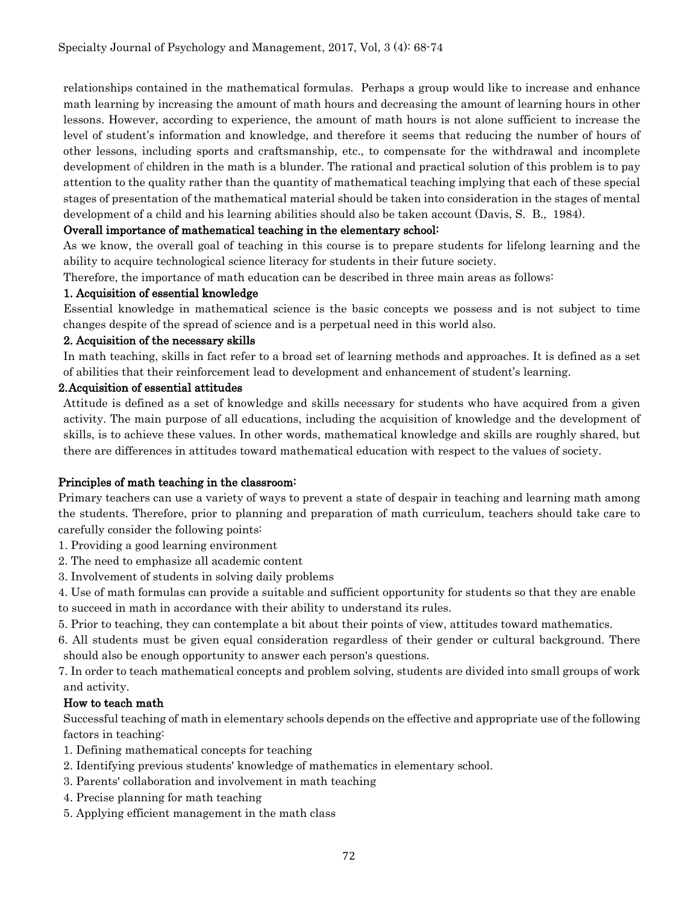relationships contained in the mathematical formulas. Perhaps a group would like to increase and enhance math learning by increasing the amount of math hours and decreasing the amount of learning hours in other lessons. However, according to experience, the amount of math hours is not alone sufficient to increase the level of student's information and knowledge, and therefore it seems that reducing the number of hours of other lessons, including sports and craftsmanship, etc., to compensate for the withdrawal and incomplete development of children in the math is a blunder. The rational and practical solution of this problem is to pay attention to the quality rather than the quantity of mathematical teaching implying that each of these special stages of presentation of the mathematical material should be taken into consideration in the stages of mental development of a child and his learning abilities should also be taken account (Davis, S. B., 1984).

## Overall importance of mathematical teaching in the elementary school:

As we know, the overall goal of teaching in this course is to prepare students for lifelong learning and the ability to acquire technological science literacy for students in their future society.

Therefore, the importance of math education can be described in three main areas as follows:

#### 1. Acquisition of essential knowledge

Essential knowledge in mathematical science is the basic concepts we possess and is not subject to time changes despite of the spread of science and is a perpetual need in this world also.

#### 2. Acquisition of the necessary skills

In math teaching, skills in fact refer to a broad set of learning methods and approaches. It is defined as a set of abilities that their reinforcement lead to development and enhancement of student's learning.

#### 2.Acquisition of essential attitudes

Attitude is defined as a set of knowledge and skills necessary for students who have acquired from a given activity. The main purpose of all educations, including the acquisition of knowledge and the development of skills, is to achieve these values. In other words, mathematical knowledge and skills are roughly shared, but there are differences in attitudes toward mathematical education with respect to the values of society.

#### Principles of math teaching in the classroom:

Primary teachers can use a variety of ways to prevent a state of despair in teaching and learning math among the students. Therefore, prior to planning and preparation of math curriculum, teachers should take care to carefully consider the following points:

1. Providing a good learning environment

- 2. The need to emphasize all academic content
- 3. Involvement of students in solving daily problems

4. Use of math formulas can provide a suitable and sufficient opportunity for students so that they are enable to succeed in math in accordance with their ability to understand its rules.

- 5. Prior to teaching, they can contemplate a bit about their points of view, attitudes toward mathematics.
- 6. All students must be given equal consideration regardless of their gender or cultural background. There should also be enough opportunity to answer each person's questions.

7. In order to teach mathematical concepts and problem solving, students are divided into small groups of work and activity.

#### How to teach math

Successful teaching of math in elementary schools depends on the effective and appropriate use of the following factors in teaching:

- 1. Defining mathematical concepts for teaching
- 2. Identifying previous students' knowledge of mathematics in elementary school.
- 3. Parents' collaboration and involvement in math teaching
- 4. Precise planning for math teaching
- 5. Applying efficient management in the math class